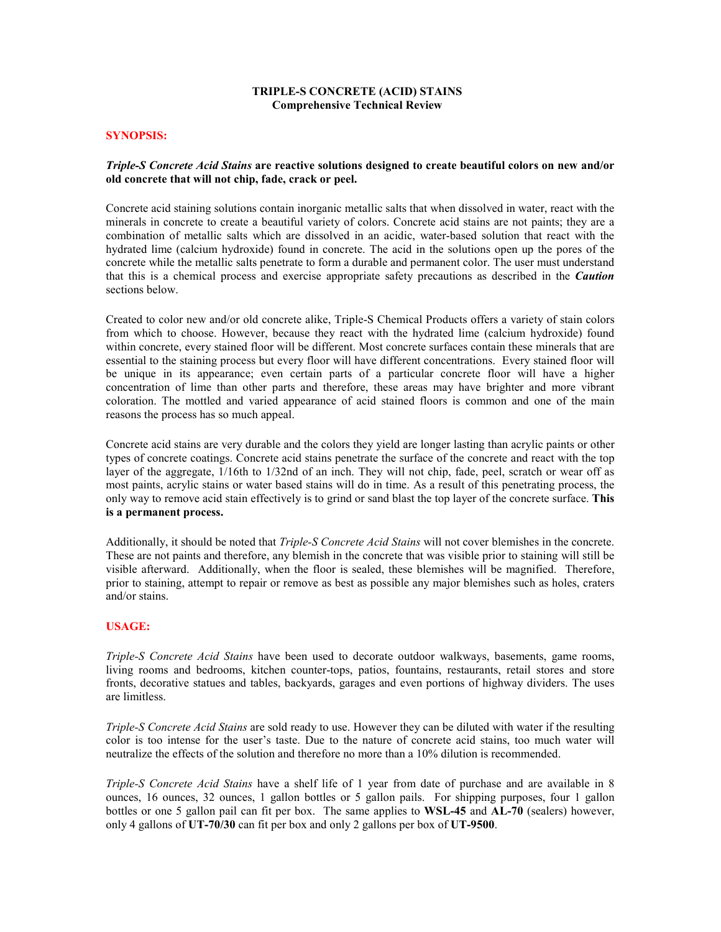## TRIPLE-S CONCRETE (ACID) STAINS Comprehensive Technical Review

#### SYNOPSIS:

#### Triple-S Concrete Acid Stains are reactive solutions designed to create beautiful colors on new and/or old concrete that will not chip, fade, crack or peel.

Concrete acid staining solutions contain inorganic metallic salts that when dissolved in water, react with the minerals in concrete to create a beautiful variety of colors. Concrete acid stains are not paints; they are a combination of metallic salts which are dissolved in an acidic, water-based solution that react with the hydrated lime (calcium hydroxide) found in concrete. The acid in the solutions open up the pores of the concrete while the metallic salts penetrate to form a durable and permanent color. The user must understand that this is a chemical process and exercise appropriate safety precautions as described in the *Caution* sections below.

Created to color new and/or old concrete alike, Triple-S Chemical Products offers a variety of stain colors from which to choose. However, because they react with the hydrated lime (calcium hydroxide) found within concrete, every stained floor will be different. Most concrete surfaces contain these minerals that are essential to the staining process but every floor will have different concentrations. Every stained floor will be unique in its appearance; even certain parts of a particular concrete floor will have a higher concentration of lime than other parts and therefore, these areas may have brighter and more vibrant coloration. The mottled and varied appearance of acid stained floors is common and one of the main reasons the process has so much appeal.

Concrete acid stains are very durable and the colors they yield are longer lasting than acrylic paints or other types of concrete coatings. Concrete acid stains penetrate the surface of the concrete and react with the top layer of the aggregate, 1/16th to 1/32nd of an inch. They will not chip, fade, peel, scratch or wear off as most paints, acrylic stains or water based stains will do in time. As a result of this penetrating process, the only way to remove acid stain effectively is to grind or sand blast the top layer of the concrete surface. This is a permanent process.

Additionally, it should be noted that Triple-S Concrete Acid Stains will not cover blemishes in the concrete. These are not paints and therefore, any blemish in the concrete that was visible prior to staining will still be visible afterward. Additionally, when the floor is sealed, these blemishes will be magnified. Therefore, prior to staining, attempt to repair or remove as best as possible any major blemishes such as holes, craters and/or stains.

#### USAGE:

Triple-S Concrete Acid Stains have been used to decorate outdoor walkways, basements, game rooms, living rooms and bedrooms, kitchen counter-tops, patios, fountains, restaurants, retail stores and store fronts, decorative statues and tables, backyards, garages and even portions of highway dividers. The uses are limitless.

Triple-S Concrete Acid Stains are sold ready to use. However they can be diluted with water if the resulting color is too intense for the user's taste. Due to the nature of concrete acid stains, too much water will neutralize the effects of the solution and therefore no more than a 10% dilution is recommended.

Triple-S Concrete Acid Stains have a shelf life of 1 year from date of purchase and are available in 8 ounces, 16 ounces, 32 ounces, 1 gallon bottles or 5 gallon pails. For shipping purposes, four 1 gallon bottles or one 5 gallon pail can fit per box. The same applies to WSL-45 and AL-70 (sealers) however, only 4 gallons of UT-70/30 can fit per box and only 2 gallons per box of UT-9500.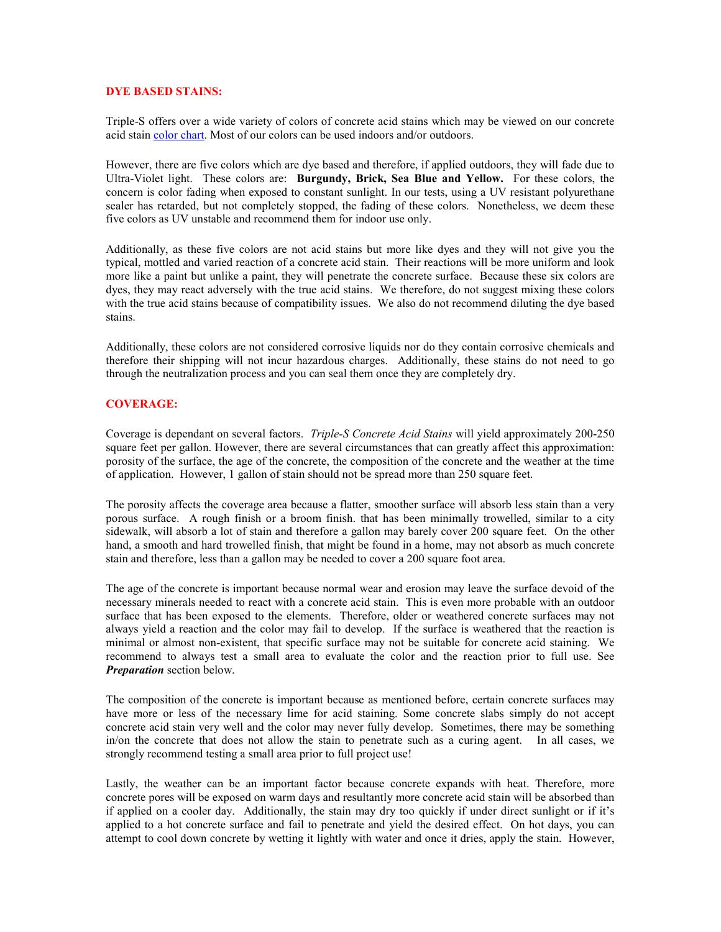### DYE BASED STAINS:

Triple-S offers over a wide variety of colors of concrete acid stains which may be viewed on our concrete acid stain color chart. Most of our colors can be used indoors and/or outdoors.

However, there are five colors which are dye based and therefore, if applied outdoors, they will fade due to Ultra-Violet light. These colors are: Burgundy, Brick, Sea Blue and Yellow. For these colors, the concern is color fading when exposed to constant sunlight. In our tests, using a UV resistant polyurethane sealer has retarded, but not completely stopped, the fading of these colors. Nonetheless, we deem these five colors as UV unstable and recommend them for indoor use only.

Additionally, as these five colors are not acid stains but more like dyes and they will not give you the typical, mottled and varied reaction of a concrete acid stain. Their reactions will be more uniform and look more like a paint but unlike a paint, they will penetrate the concrete surface. Because these six colors are dyes, they may react adversely with the true acid stains. We therefore, do not suggest mixing these colors with the true acid stains because of compatibility issues. We also do not recommend diluting the dye based stains.

Additionally, these colors are not considered corrosive liquids nor do they contain corrosive chemicals and therefore their shipping will not incur hazardous charges. Additionally, these stains do not need to go through the neutralization process and you can seal them once they are completely dry.

#### COVERAGE:

Coverage is dependant on several factors. Triple-S Concrete Acid Stains will yield approximately 200-250 square feet per gallon. However, there are several circumstances that can greatly affect this approximation: porosity of the surface, the age of the concrete, the composition of the concrete and the weather at the time of application. However, 1 gallon of stain should not be spread more than 250 square feet.

The porosity affects the coverage area because a flatter, smoother surface will absorb less stain than a very porous surface. A rough finish or a broom finish. that has been minimally trowelled, similar to a city sidewalk, will absorb a lot of stain and therefore a gallon may barely cover 200 square feet. On the other hand, a smooth and hard trowelled finish, that might be found in a home, may not absorb as much concrete stain and therefore, less than a gallon may be needed to cover a 200 square foot area.

The age of the concrete is important because normal wear and erosion may leave the surface devoid of the necessary minerals needed to react with a concrete acid stain. This is even more probable with an outdoor surface that has been exposed to the elements. Therefore, older or weathered concrete surfaces may not always yield a reaction and the color may fail to develop. If the surface is weathered that the reaction is minimal or almost non-existent, that specific surface may not be suitable for concrete acid staining. We recommend to always test a small area to evaluate the color and the reaction prior to full use. See **Preparation** section below.

The composition of the concrete is important because as mentioned before, certain concrete surfaces may have more or less of the necessary lime for acid staining. Some concrete slabs simply do not accept concrete acid stain very well and the color may never fully develop. Sometimes, there may be something in/on the concrete that does not allow the stain to penetrate such as a curing agent. In all cases, we strongly recommend testing a small area prior to full project use!

Lastly, the weather can be an important factor because concrete expands with heat. Therefore, more concrete pores will be exposed on warm days and resultantly more concrete acid stain will be absorbed than if applied on a cooler day. Additionally, the stain may dry too quickly if under direct sunlight or if it's applied to a hot concrete surface and fail to penetrate and yield the desired effect. On hot days, you can attempt to cool down concrete by wetting it lightly with water and once it dries, apply the stain. However,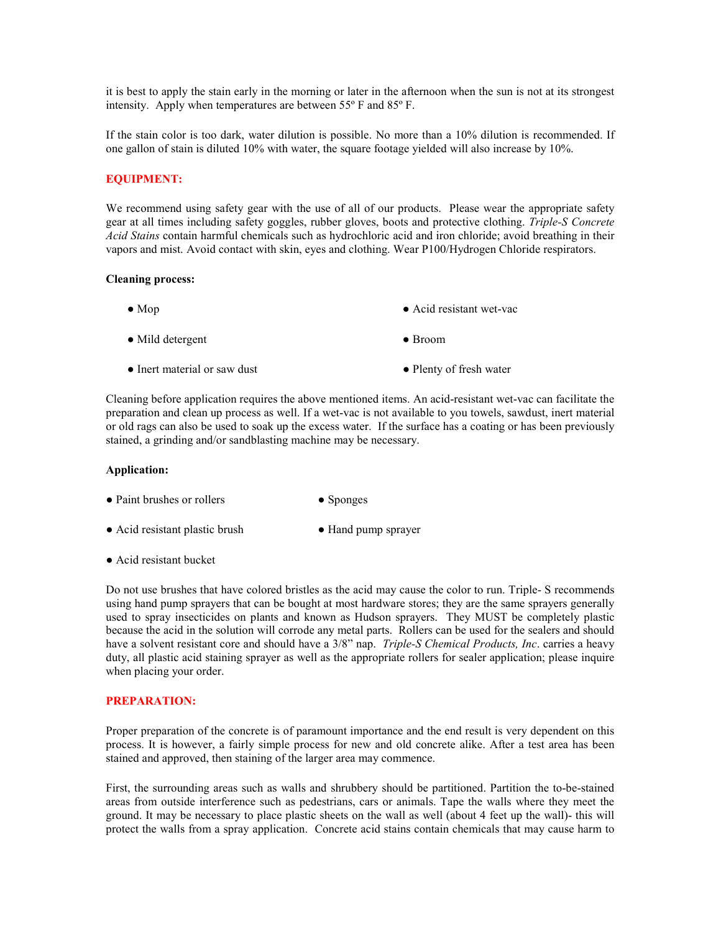it is best to apply the stain early in the morning or later in the afternoon when the sun is not at its strongest intensity. Apply when temperatures are between 55º F and 85º F.

If the stain color is too dark, water dilution is possible. No more than a 10% dilution is recommended. If one gallon of stain is diluted 10% with water, the square footage yielded will also increase by 10%.

### EQUIPMENT:

We recommend using safety gear with the use of all of our products. Please wear the appropriate safety gear at all times including safety goggles, rubber gloves, boots and protective clothing. Triple-S Concrete Acid Stains contain harmful chemicals such as hydrochloric acid and iron chloride; avoid breathing in their vapors and mist. Avoid contact with skin, eyes and clothing. Wear P100/Hydrogen Chloride respirators.

#### Cleaning process:

| $\bullet$ Mop                | • Acid resistant wet-vac |
|------------------------------|--------------------------|
| $\bullet$ Mild detergent     | $\bullet$ Broom          |
| • Inert material or saw dust | • Plenty of fresh water  |

Cleaning before application requires the above mentioned items. An acid-resistant wet-vac can facilitate the preparation and clean up process as well. If a wet-vac is not available to you towels, sawdust, inert material or old rags can also be used to soak up the excess water. If the surface has a coating or has been previously stained, a grinding and/or sandblasting machine may be necessary.

#### Application:

| • Paint brushes or rollers | $\bullet$ Sponges |
|----------------------------|-------------------|
|----------------------------|-------------------|

- Acid resistant plastic brush Hand pump sprayer
- Acid resistant bucket

Do not use brushes that have colored bristles as the acid may cause the color to run. Triple- S recommends using hand pump sprayers that can be bought at most hardware stores; they are the same sprayers generally used to spray insecticides on plants and known as Hudson sprayers. They MUST be completely plastic because the acid in the solution will corrode any metal parts. Rollers can be used for the sealers and should have a solvent resistant core and should have a 3/8" nap. *Triple-S Chemical Products, Inc.* carries a heavy duty, all plastic acid staining sprayer as well as the appropriate rollers for sealer application; please inquire when placing your order.

#### PREPARATION:

Proper preparation of the concrete is of paramount importance and the end result is very dependent on this process. It is however, a fairly simple process for new and old concrete alike. After a test area has been stained and approved, then staining of the larger area may commence.

First, the surrounding areas such as walls and shrubbery should be partitioned. Partition the to-be-stained areas from outside interference such as pedestrians, cars or animals. Tape the walls where they meet the ground. It may be necessary to place plastic sheets on the wall as well (about 4 feet up the wall)- this will protect the walls from a spray application. Concrete acid stains contain chemicals that may cause harm to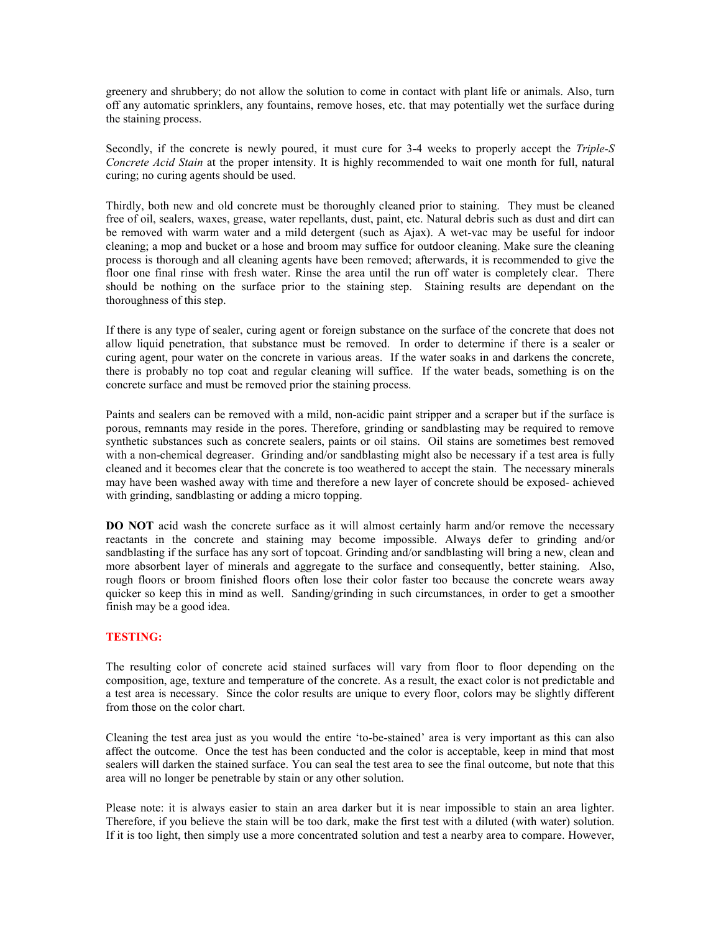greenery and shrubbery; do not allow the solution to come in contact with plant life or animals. Also, turn off any automatic sprinklers, any fountains, remove hoses, etc. that may potentially wet the surface during the staining process.

Secondly, if the concrete is newly poured, it must cure for 3-4 weeks to properly accept the Triple-S Concrete Acid Stain at the proper intensity. It is highly recommended to wait one month for full, natural curing; no curing agents should be used.

Thirdly, both new and old concrete must be thoroughly cleaned prior to staining. They must be cleaned free of oil, sealers, waxes, grease, water repellants, dust, paint, etc. Natural debris such as dust and dirt can be removed with warm water and a mild detergent (such as Ajax). A wet-vac may be useful for indoor cleaning; a mop and bucket or a hose and broom may suffice for outdoor cleaning. Make sure the cleaning process is thorough and all cleaning agents have been removed; afterwards, it is recommended to give the floor one final rinse with fresh water. Rinse the area until the run off water is completely clear. There should be nothing on the surface prior to the staining step. Staining results are dependant on the thoroughness of this step.

If there is any type of sealer, curing agent or foreign substance on the surface of the concrete that does not allow liquid penetration, that substance must be removed. In order to determine if there is a sealer or curing agent, pour water on the concrete in various areas. If the water soaks in and darkens the concrete, there is probably no top coat and regular cleaning will suffice. If the water beads, something is on the concrete surface and must be removed prior the staining process.

Paints and sealers can be removed with a mild, non-acidic paint stripper and a scraper but if the surface is porous, remnants may reside in the pores. Therefore, grinding or sandblasting may be required to remove synthetic substances such as concrete sealers, paints or oil stains. Oil stains are sometimes best removed with a non-chemical degreaser. Grinding and/or sandblasting might also be necessary if a test area is fully cleaned and it becomes clear that the concrete is too weathered to accept the stain. The necessary minerals may have been washed away with time and therefore a new layer of concrete should be exposed- achieved with grinding, sandblasting or adding a micro topping.

DO NOT acid wash the concrete surface as it will almost certainly harm and/or remove the necessary reactants in the concrete and staining may become impossible. Always defer to grinding and/or sandblasting if the surface has any sort of topcoat. Grinding and/or sandblasting will bring a new, clean and more absorbent layer of minerals and aggregate to the surface and consequently, better staining. Also, rough floors or broom finished floors often lose their color faster too because the concrete wears away quicker so keep this in mind as well. Sanding/grinding in such circumstances, in order to get a smoother finish may be a good idea.

## TESTING:

The resulting color of concrete acid stained surfaces will vary from floor to floor depending on the composition, age, texture and temperature of the concrete. As a result, the exact color is not predictable and a test area is necessary. Since the color results are unique to every floor, colors may be slightly different from those on the color chart.

Cleaning the test area just as you would the entire 'to-be-stained' area is very important as this can also affect the outcome. Once the test has been conducted and the color is acceptable, keep in mind that most sealers will darken the stained surface. You can seal the test area to see the final outcome, but note that this area will no longer be penetrable by stain or any other solution.

Please note: it is always easier to stain an area darker but it is near impossible to stain an area lighter. Therefore, if you believe the stain will be too dark, make the first test with a diluted (with water) solution. If it is too light, then simply use a more concentrated solution and test a nearby area to compare. However,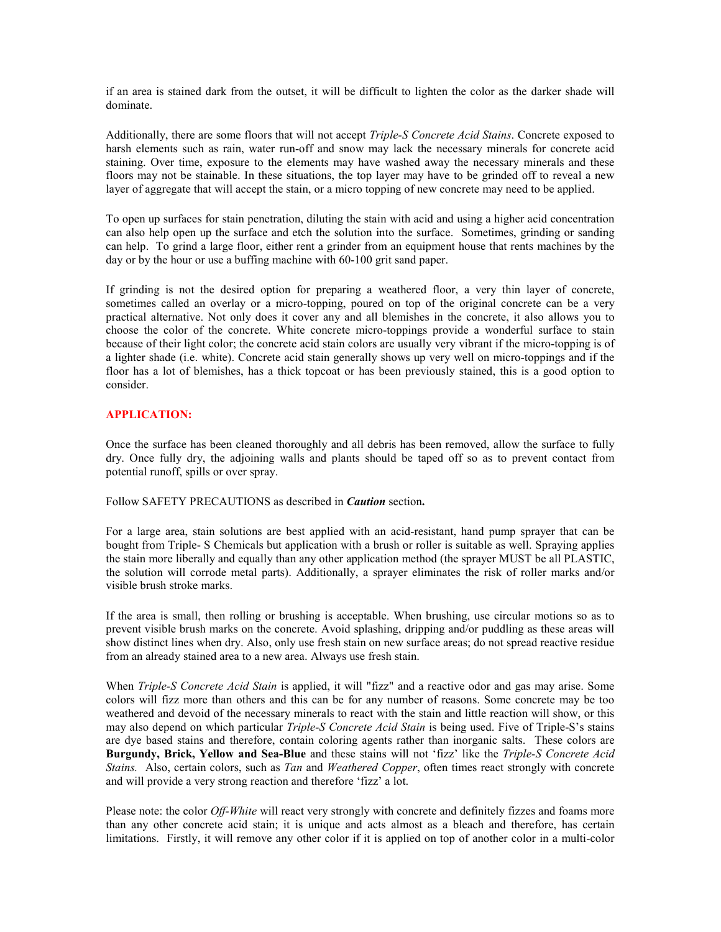if an area is stained dark from the outset, it will be difficult to lighten the color as the darker shade will dominate.

Additionally, there are some floors that will not accept Triple-S Concrete Acid Stains. Concrete exposed to harsh elements such as rain, water run-off and snow may lack the necessary minerals for concrete acid staining. Over time, exposure to the elements may have washed away the necessary minerals and these floors may not be stainable. In these situations, the top layer may have to be grinded off to reveal a new layer of aggregate that will accept the stain, or a micro topping of new concrete may need to be applied.

To open up surfaces for stain penetration, diluting the stain with acid and using a higher acid concentration can also help open up the surface and etch the solution into the surface. Sometimes, grinding or sanding can help. To grind a large floor, either rent a grinder from an equipment house that rents machines by the day or by the hour or use a buffing machine with 60-100 grit sand paper.

If grinding is not the desired option for preparing a weathered floor, a very thin layer of concrete, sometimes called an overlay or a micro-topping, poured on top of the original concrete can be a very practical alternative. Not only does it cover any and all blemishes in the concrete, it also allows you to choose the color of the concrete. White concrete micro-toppings provide a wonderful surface to stain because of their light color; the concrete acid stain colors are usually very vibrant if the micro-topping is of a lighter shade (i.e. white). Concrete acid stain generally shows up very well on micro-toppings and if the floor has a lot of blemishes, has a thick topcoat or has been previously stained, this is a good option to consider.

### APPLICATION:

Once the surface has been cleaned thoroughly and all debris has been removed, allow the surface to fully dry. Once fully dry, the adjoining walls and plants should be taped off so as to prevent contact from potential runoff, spills or over spray.

Follow SAFETY PRECAUTIONS as described in *Caution* section.

For a large area, stain solutions are best applied with an acid-resistant, hand pump sprayer that can be bought from Triple- S Chemicals but application with a brush or roller is suitable as well. Spraying applies the stain more liberally and equally than any other application method (the sprayer MUST be all PLASTIC, the solution will corrode metal parts). Additionally, a sprayer eliminates the risk of roller marks and/or visible brush stroke marks.

If the area is small, then rolling or brushing is acceptable. When brushing, use circular motions so as to prevent visible brush marks on the concrete. Avoid splashing, dripping and/or puddling as these areas will show distinct lines when dry. Also, only use fresh stain on new surface areas; do not spread reactive residue from an already stained area to a new area. Always use fresh stain.

When *Triple-S Concrete Acid Stain* is applied, it will "fizz" and a reactive odor and gas may arise. Some colors will fizz more than others and this can be for any number of reasons. Some concrete may be too weathered and devoid of the necessary minerals to react with the stain and little reaction will show, or this may also depend on which particular *Triple-S Concrete Acid Stain* is being used. Five of Triple-S's stains are dye based stains and therefore, contain coloring agents rather than inorganic salts. These colors are Burgundy, Brick, Yellow and Sea-Blue and these stains will not 'fizz' like the Triple-S Concrete Acid Stains. Also, certain colors, such as Tan and Weathered Copper, often times react strongly with concrete and will provide a very strong reaction and therefore 'fizz' a lot.

Please note: the color *Off-White* will react very strongly with concrete and definitely fizzes and foams more than any other concrete acid stain; it is unique and acts almost as a bleach and therefore, has certain limitations. Firstly, it will remove any other color if it is applied on top of another color in a multi-color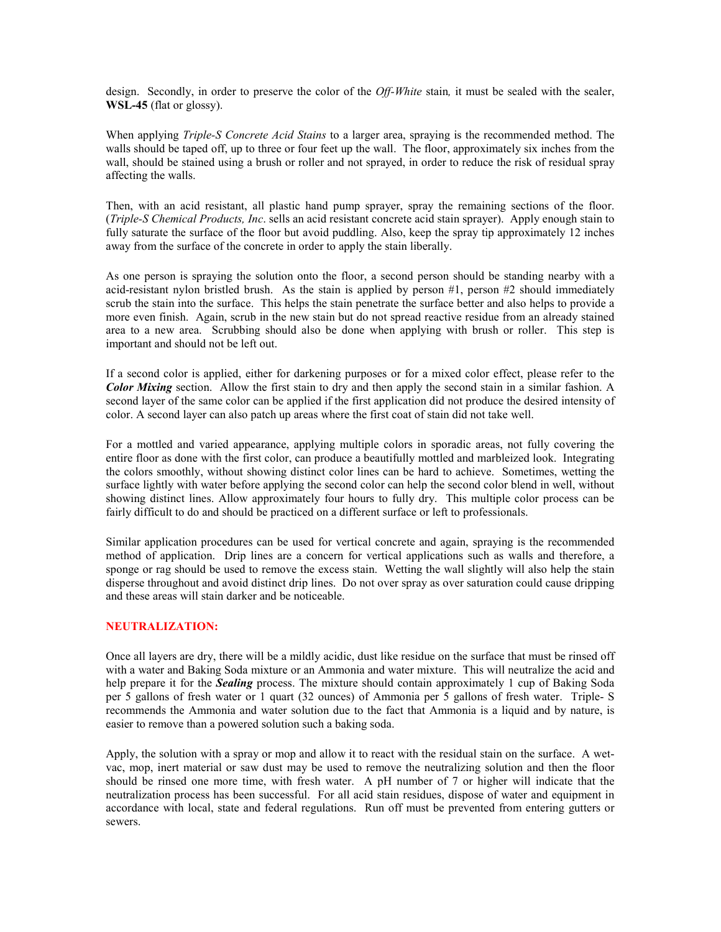design. Secondly, in order to preserve the color of the *Off-White* stain, it must be sealed with the sealer, WSL-45 (flat or glossy).

When applying *Triple-S Concrete Acid Stains* to a larger area, spraying is the recommended method. The walls should be taped off, up to three or four feet up the wall. The floor, approximately six inches from the wall, should be stained using a brush or roller and not sprayed, in order to reduce the risk of residual spray affecting the walls.

Then, with an acid resistant, all plastic hand pump sprayer, spray the remaining sections of the floor. (Triple-S Chemical Products, Inc. sells an acid resistant concrete acid stain sprayer). Apply enough stain to fully saturate the surface of the floor but avoid puddling. Also, keep the spray tip approximately 12 inches away from the surface of the concrete in order to apply the stain liberally.

As one person is spraying the solution onto the floor, a second person should be standing nearby with a acid-resistant nylon bristled brush. As the stain is applied by person #1, person #2 should immediately scrub the stain into the surface. This helps the stain penetrate the surface better and also helps to provide a more even finish. Again, scrub in the new stain but do not spread reactive residue from an already stained area to a new area. Scrubbing should also be done when applying with brush or roller. This step is important and should not be left out.

If a second color is applied, either for darkening purposes or for a mixed color effect, please refer to the Color Mixing section. Allow the first stain to dry and then apply the second stain in a similar fashion. A second layer of the same color can be applied if the first application did not produce the desired intensity of color. A second layer can also patch up areas where the first coat of stain did not take well.

For a mottled and varied appearance, applying multiple colors in sporadic areas, not fully covering the entire floor as done with the first color, can produce a beautifully mottled and marbleized look. Integrating the colors smoothly, without showing distinct color lines can be hard to achieve. Sometimes, wetting the surface lightly with water before applying the second color can help the second color blend in well, without showing distinct lines. Allow approximately four hours to fully dry. This multiple color process can be fairly difficult to do and should be practiced on a different surface or left to professionals.

Similar application procedures can be used for vertical concrete and again, spraying is the recommended method of application. Drip lines are a concern for vertical applications such as walls and therefore, a sponge or rag should be used to remove the excess stain. Wetting the wall slightly will also help the stain disperse throughout and avoid distinct drip lines. Do not over spray as over saturation could cause dripping and these areas will stain darker and be noticeable.

#### NEUTRALIZATION:

Once all layers are dry, there will be a mildly acidic, dust like residue on the surface that must be rinsed off with a water and Baking Soda mixture or an Ammonia and water mixture. This will neutralize the acid and help prepare it for the **Sealing** process. The mixture should contain approximately 1 cup of Baking Soda per 5 gallons of fresh water or 1 quart (32 ounces) of Ammonia per 5 gallons of fresh water. Triple- S recommends the Ammonia and water solution due to the fact that Ammonia is a liquid and by nature, is easier to remove than a powered solution such a baking soda.

Apply, the solution with a spray or mop and allow it to react with the residual stain on the surface. A wetvac, mop, inert material or saw dust may be used to remove the neutralizing solution and then the floor should be rinsed one more time, with fresh water. A pH number of 7 or higher will indicate that the neutralization process has been successful. For all acid stain residues, dispose of water and equipment in accordance with local, state and federal regulations. Run off must be prevented from entering gutters or sewers.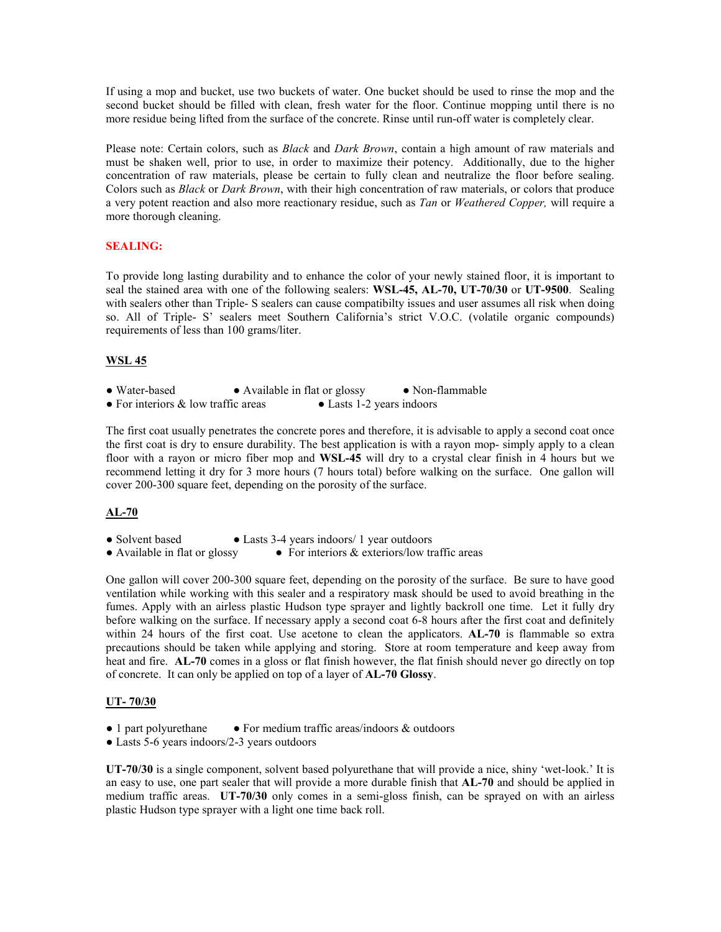If using a mop and bucket, use two buckets of water. One bucket should be used to rinse the mop and the second bucket should be filled with clean, fresh water for the floor. Continue mopping until there is no more residue being lifted from the surface of the concrete. Rinse until run-off water is completely clear.

Please note: Certain colors, such as *Black* and *Dark Brown*, contain a high amount of raw materials and must be shaken well, prior to use, in order to maximize their potency. Additionally, due to the higher concentration of raw materials, please be certain to fully clean and neutralize the floor before sealing. Colors such as *Black* or *Dark Brown*, with their high concentration of raw materials, or colors that produce a very potent reaction and also more reactionary residue, such as Tan or Weathered Copper, will require a more thorough cleaning.

## SEALING:

To provide long lasting durability and to enhance the color of your newly stained floor, it is important to seal the stained area with one of the following sealers: WSL-45, AL-70, UT-70/30 or UT-9500. Sealing with sealers other than Triple- S sealers can cause compatibilty issues and user assumes all risk when doing so. All of Triple- S' sealers meet Southern California's strict V.O.C. (volatile organic compounds) requirements of less than 100 grams/liter.

## WSL 45

- Water-based Available in flat or glossy Non-flammable
- For interiors & low traffic areas Lasts 1-2 years indoors

The first coat usually penetrates the concrete pores and therefore, it is advisable to apply a second coat once the first coat is dry to ensure durability. The best application is with a rayon mop- simply apply to a clean floor with a rayon or micro fiber mop and WSL-45 will dry to a crystal clear finish in 4 hours but we recommend letting it dry for 3 more hours (7 hours total) before walking on the surface. One gallon will cover 200-300 square feet, depending on the porosity of the surface.

## AL-70

• Solvent based • Lasts 3-4 years indoors/ 1 year outdoors

• Available in flat or glossy • For interiors  $&$  exteriors/low traffic areas

One gallon will cover 200-300 square feet, depending on the porosity of the surface. Be sure to have good ventilation while working with this sealer and a respiratory mask should be used to avoid breathing in the fumes. Apply with an airless plastic Hudson type sprayer and lightly backroll one time. Let it fully dry before walking on the surface. If necessary apply a second coat 6-8 hours after the first coat and definitely within 24 hours of the first coat. Use acetone to clean the applicators. AL-70 is flammable so extra precautions should be taken while applying and storing. Store at room temperature and keep away from heat and fire. AL-70 comes in a gloss or flat finish however, the flat finish should never go directly on top of concrete. It can only be applied on top of a layer of AL-70 Glossy.

## UT- 70/30

- 1 part polyurethane For medium traffic areas/indoors  $\&$  outdoors
- Lasts 5-6 years indoors/2-3 years outdoors

UT-70/30 is a single component, solvent based polyurethane that will provide a nice, shiny 'wet-look.' It is an easy to use, one part sealer that will provide a more durable finish that AL-70 and should be applied in medium traffic areas. UT-70/30 only comes in a semi-gloss finish, can be sprayed on with an airless plastic Hudson type sprayer with a light one time back roll.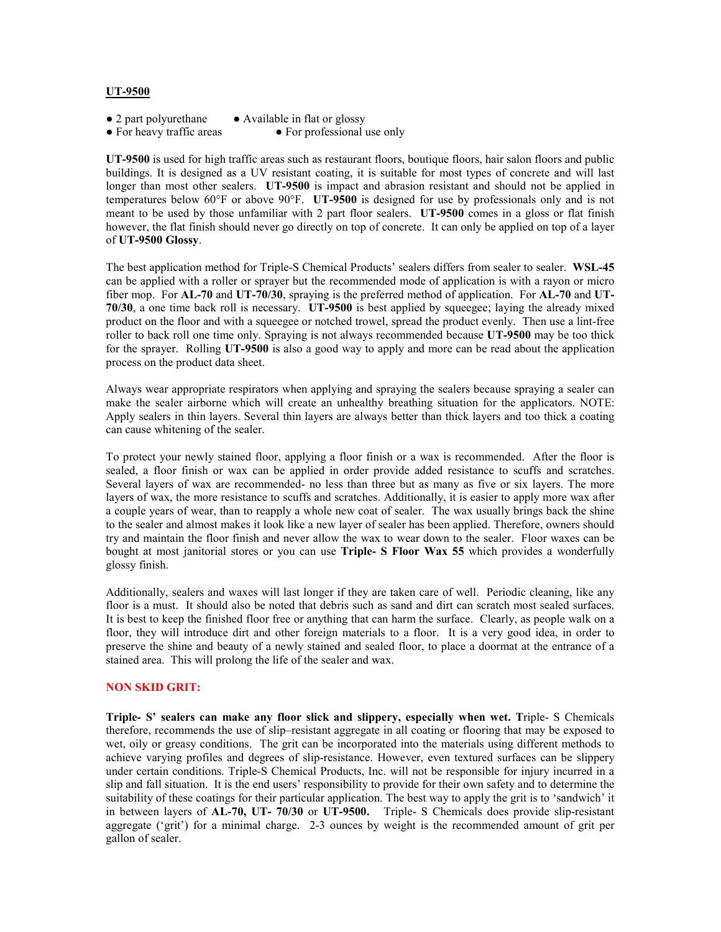#### UT-9500

- 2 part polyurethane Available in flat or glossy
- For heavy traffic areas For professional use only
- 

UT-9500 is used for high traffic areas such as restaurant floors, boutique floors, hair salon floors and public buildings. It is designed as a UV resistant coating, it is suitable for most types of concrete and will last longer than most other sealers. UT-9500 is impact and abrasion resistant and should not be applied in temperatures below 60°F or above 90°F. UT-9500 is designed for use by professionals only and is not meant to be used by those unfamiliar with 2 part floor sealers. UT-9500 comes in a gloss or flat finish however, the flat finish should never go directly on top of concrete. It can only be applied on top of a layer of UT-9500 Glossy.

The best application method for Triple-S Chemical Products' sealers differs from sealer to sealer. WSL-45 can be applied with a roller or sprayer but the recommended mode of application is with a rayon or micro fiber mop. For AL-70 and UT-70/30, spraying is the preferred method of application. For AL-70 and UT-70/30, a one time back roll is necessary. UT-9500 is best applied by squeegee; laying the already mixed product on the floor and with a squeegee or notched trowel, spread the product evenly. Then use a lint-free roller to back roll one time only. Spraying is not always recommended because UT-9500 may be too thick for the sprayer. Rolling UT-9500 is also a good way to apply and more can be read about the application process on the product data sheet.

Always wear appropriate respirators when applying and spraying the sealers because spraying a sealer can make the sealer airborne which will create an unhealthy breathing situation for the applicators. NOTE: Apply sealers in thin layers. Several thin layers are always better than thick layers and too thick a coating can cause whitening of the sealer.

To protect your newly stained floor, applying a floor finish or a wax is recommended. After the floor is sealed, a floor finish or wax can be applied in order provide added resistance to scuffs and scratches. Several layers of wax are recommended- no less than three but as many as five or six layers. The more layers of wax, the more resistance to scuffs and scratches. Additionally, it is easier to apply more wax after a couple years of wear, than to reapply a whole new coat of sealer. The wax usually brings back the shine to the sealer and almost makes it look like a new layer of sealer has been applied. Therefore, owners should try and maintain the floor finish and never allow the wax to wear down to the sealer. Floor waxes can be bought at most janitorial stores or you can use Triple- S Floor Wax 55 which provides a wonderfully glossy finish.

Additionally, sealers and waxes will last longer if they are taken care of well. Periodic cleaning, like any floor is a must. It should also be noted that debris such as sand and dirt can scratch most sealed surfaces. It is best to keep the finished floor free or anything that can harm the surface. Clearly, as people walk on a floor, they will introduce dirt and other foreign materials to a floor. It is a very good idea, in order to preserve the shine and beauty of a newly stained and sealed floor, to place a doormat at the entrance of a stained area. This will prolong the life of the sealer and wax.

### NON SKID GRIT:

Triple- S' sealers can make any floor slick and slippery, especially when wet. Triple- S Chemicals therefore, recommends the use of slip–resistant aggregate in all coating or flooring that may be exposed to wet, oily or greasy conditions. The grit can be incorporated into the materials using different methods to achieve varying profiles and degrees of slip-resistance. However, even textured surfaces can be slippery under certain conditions. Triple-S Chemical Products, Inc. will not be responsible for injury incurred in a slip and fall situation. It is the end users' responsibility to provide for their own safety and to determine the suitability of these coatings for their particular application. The best way to apply the grit is to 'sandwich' it in between layers of AL-70, UT- 70/30 or UT-9500. Triple- S Chemicals does provide slip-resistant aggregate ('grit') for a minimal charge. 2-3 ounces by weight is the recommended amount of grit per gallon of sealer.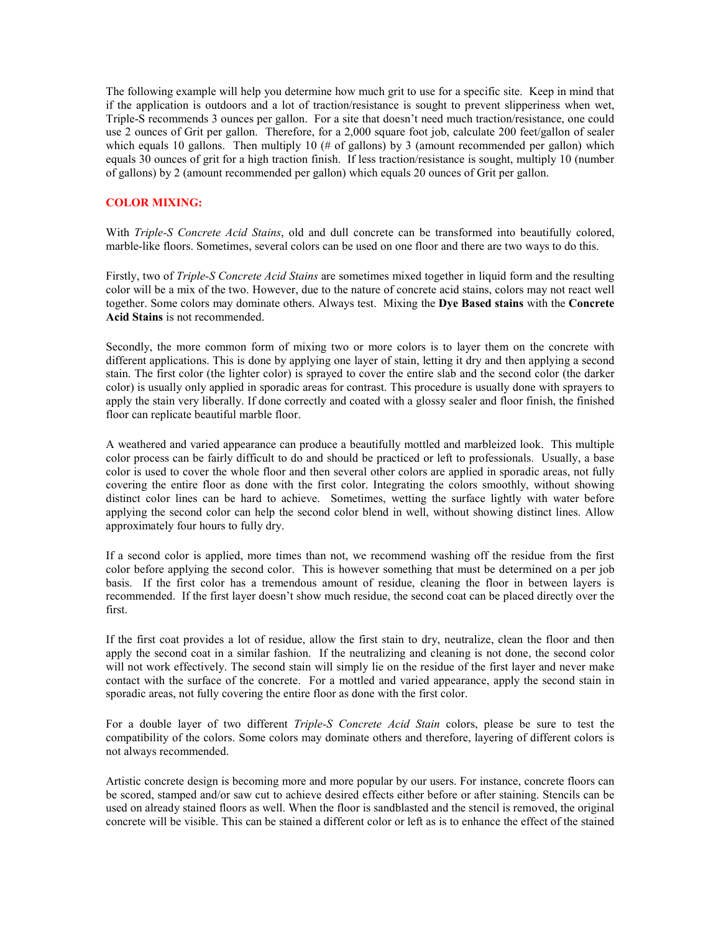The following example will help you determine how much grit to use for a specific site. Keep in mind that if the application is outdoors and a lot of traction/resistance is sought to prevent slipperiness when wet, Triple-S recommends 3 ounces per gallon. For a site that doesn't need much traction/resistance, one could use 2 ounces of Grit per gallon. Therefore, for a 2,000 square foot job, calculate 200 feet/gallon of sealer which equals 10 gallons. Then multiply 10 (# of gallons) by 3 (amount recommended per gallon) which equals 30 ounces of grit for a high traction finish. If less traction/resistance is sought, multiply 10 (number of gallons) by 2 (amount recommended per gallon) which equals 20 ounces of Grit per gallon.

## COLOR MIXING:

With Triple-S Concrete Acid Stains, old and dull concrete can be transformed into beautifully colored, marble-like floors. Sometimes, several colors can be used on one floor and there are two ways to do this.

Firstly, two of *Triple-S Concrete Acid Stains* are sometimes mixed together in liquid form and the resulting color will be a mix of the two. However, due to the nature of concrete acid stains, colors may not react well together. Some colors may dominate others. Always test. Mixing the Dye Based stains with the Concrete Acid Stains is not recommended.

Secondly, the more common form of mixing two or more colors is to layer them on the concrete with different applications. This is done by applying one layer of stain, letting it dry and then applying a second stain. The first color (the lighter color) is sprayed to cover the entire slab and the second color (the darker color) is usually only applied in sporadic areas for contrast. This procedure is usually done with sprayers to apply the stain very liberally. If done correctly and coated with a glossy sealer and floor finish, the finished floor can replicate beautiful marble floor.

A weathered and varied appearance can produce a beautifully mottled and marbleized look. This multiple color process can be fairly difficult to do and should be practiced or left to professionals. Usually, a base color is used to cover the whole floor and then several other colors are applied in sporadic areas, not fully covering the entire floor as done with the first color. Integrating the colors smoothly, without showing distinct color lines can be hard to achieve. Sometimes, wetting the surface lightly with water before applying the second color can help the second color blend in well, without showing distinct lines. Allow approximately four hours to fully dry.

If a second color is applied, more times than not, we recommend washing off the residue from the first color before applying the second color. This is however something that must be determined on a per job basis. If the first color has a tremendous amount of residue, cleaning the floor in between layers is recommended. If the first layer doesn't show much residue, the second coat can be placed directly over the first.

If the first coat provides a lot of residue, allow the first stain to dry, neutralize, clean the floor and then apply the second coat in a similar fashion. If the neutralizing and cleaning is not done, the second color will not work effectively. The second stain will simply lie on the residue of the first layer and never make contact with the surface of the concrete. For a mottled and varied appearance, apply the second stain in sporadic areas, not fully covering the entire floor as done with the first color.

For a double layer of two different Triple-S Concrete Acid Stain colors, please be sure to test the compatibility of the colors. Some colors may dominate others and therefore, layering of different colors is not always recommended.

Artistic concrete design is becoming more and more popular by our users. For instance, concrete floors can be scored, stamped and/or saw cut to achieve desired effects either before or after staining. Stencils can be used on already stained floors as well. When the floor is sandblasted and the stencil is removed, the original concrete will be visible. This can be stained a different color or left as is to enhance the effect of the stained